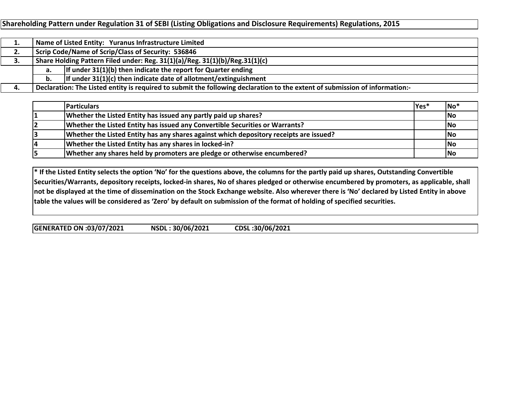**Shareholding Pattern under Regulation 31 of SEBI (Listing Obligations and Disclosure Requirements) Regulations, 2015**

|    |                                                                             | Name of Listed Entity: Yuranus Infrastructure Limited                                                                       |  |  |  |  |  |  |  |  |
|----|-----------------------------------------------------------------------------|-----------------------------------------------------------------------------------------------------------------------------|--|--|--|--|--|--|--|--|
| 2. | Scrip Code/Name of Scrip/Class of Security: 536846                          |                                                                                                                             |  |  |  |  |  |  |  |  |
| З. | Share Holding Pattern Filed under: Reg. 31(1)(a)/Reg. 31(1)(b)/Reg.31(1)(c) |                                                                                                                             |  |  |  |  |  |  |  |  |
|    | а.                                                                          | If under $31(1)(b)$ then indicate the report for Quarter ending                                                             |  |  |  |  |  |  |  |  |
|    | If under $31(1)(c)$ then indicate date of allotment/extinguishment<br>b.    |                                                                                                                             |  |  |  |  |  |  |  |  |
| 4. |                                                                             | Declaration: The Listed entity is required to submit the following declaration to the extent of submission of information:- |  |  |  |  |  |  |  |  |

| <b>Particulars</b>                                                                     | lYes* | $ No^*$    |
|----------------------------------------------------------------------------------------|-------|------------|
| Whether the Listed Entity has issued any partly paid up shares?                        |       | <b>INo</b> |
| Whether the Listed Entity has issued any Convertible Securities or Warrants?           |       | No         |
| Whether the Listed Entity has any shares against which depository receipts are issued? |       | <b>INo</b> |
| Whether the Listed Entity has any shares in locked-in?                                 |       | No         |
| Whether any shares held by promoters are pledge or otherwise encumbered?               |       | lNo        |

\* If the Listed Entity selects the option 'No' for the questions above, the columns for the partly paid up shares, Outstanding Convertible Securities/Warrants, depository receipts, locked-in shares, No of shares pledged or otherwise encumbered by promoters, as applicable, shall not be displayed at the time of dissemination on the Stock Exchange website. Also wherever there is 'No' declared by Listed Entity in above table the values will be considered as 'Zero' by default on submission of the format of holding of specified securities.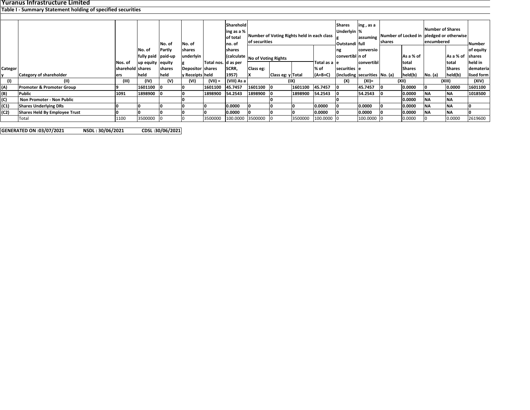## **Yuranus Infrastructure Limited Table I ‐ Summary Statement holding of specified securities**

|         |                                      |                  |                  |         |                    |                       | Sharehold<br>ing as a % |                                            |                                |         | <b>Shares</b><br>ing, as a<br>Underlyin % |                 |                               |  | <b>Number of Shares</b> |           |                                          |            |  |
|---------|--------------------------------------|------------------|------------------|---------|--------------------|-----------------------|-------------------------|--------------------------------------------|--------------------------------|---------|-------------------------------------------|-----------------|-------------------------------|--|-------------------------|-----------|------------------------------------------|------------|--|
|         |                                      |                  |                  |         |                    |                       | of total                | Number of Voting Rights held in each class |                                |         |                                           |                 | assuming                      |  |                         |           | Number of Locked in pledged or otherwise |            |  |
|         |                                      |                  |                  | No. of  | No. of             |                       | no. of                  | of securities                              |                                |         | Outstandi full                            |                 | shares                        |  | encumbered              |           | Number                                   |            |  |
|         |                                      |                  | No. of           | Partly  | shares             |                       | shares                  |                                            |                                |         | ng                                        | conversio       |                               |  |                         |           | of equity                                |            |  |
|         |                                      |                  | fully paid       | paid-up | underlyin          |                       |                         |                                            | (calculate No of Voting Rights |         |                                           | convertibl n of |                               |  | As a % of               |           | As a % of shares                         |            |  |
|         |                                      | Nos. of          | up equity equity |         |                    | Total nos.   d as per |                         |                                            |                                |         | Total as a le                             |                 | convertibl                    |  | total                   |           | Itotal                                   | held in    |  |
| Categor |                                      | sharehold shares |                  | shares  | Depositor shares   |                       | SCRR,                   | Class eg:                                  |                                |         | % of                                      | securities e    |                               |  | <b>Shares</b>           |           | <b>Shares</b>                            | demateria  |  |
|         | <b>Category of shareholder</b>       | ers              | held             | held    | ly Receipts   held |                       | 1957)                   |                                            | Class eg: y Total              |         | $(A+B+C)$                                 |                 | (including securities No. (a) |  | held(b)                 | No. (a)   | held(b)                                  | lised form |  |
| (1)     | (II)                                 | (III)            | (IV)             | (V)     | (VI)               | $(VII) =$             | (VIII) As a             |                                            | (IX)                           |         |                                           | (X)             | $(XI) =$                      |  | (XII)                   |           | (XIII)                                   | (XIV)      |  |
| (A)     | <b>Promoter &amp; Promoter Group</b> |                  | 1601100          |         |                    | 1601100               | 45.7457                 | 1601100 0                                  |                                | 1601100 | 45.7457                                   | 10              | 45.7457                       |  | 0.0000                  |           | 0.0000                                   | 1601100    |  |
| (B)     | Public                               | 1091             | 1898900          |         |                    | 1898900               | 54.2543                 | 1898900                                    |                                | 1898900 | 54.2543                                   | -10             | 54.2543                       |  | 0.0000                  | <b>NA</b> | <b>INA</b>                               | 1018500    |  |
| (C)     | Non Promoter - Non Public            |                  |                  |         |                    |                       |                         |                                            |                                |         |                                           |                 |                               |  | 0.0000                  | <b>NA</b> | <b>INA</b>                               |            |  |
| (C1)    | <b>Shares Underlying DRs</b>         |                  |                  |         |                    |                       | 0.0000                  |                                            |                                |         | 0.0000                                    |                 | 0.0000                        |  | 0.0000                  | <b>NA</b> | <b>NA</b>                                |            |  |
| (C2)    | <b>Shares Held By Employee Trust</b> |                  |                  |         |                    |                       | 0.0000                  |                                            |                                |         | 0.0000                                    |                 | 0.0000                        |  | 0.0000                  | <b>NA</b> | <b>INA</b>                               |            |  |
|         | Total                                | 1100             | 3500000          |         |                    | 3500000               | 100.0000                | 3500000                                    |                                | 3500000 | 100.0000 0                                |                 | 100.0000                      |  | 0.0000                  |           | 0.0000                                   | 2619600    |  |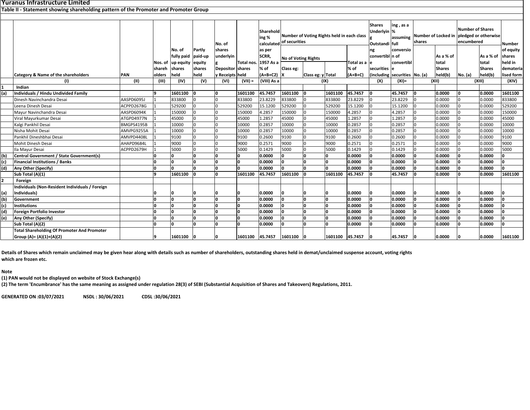## **Yuranus Infrastructure Limited**

**Table II ‐ Statement showing shareholding pattern of the Promoter and Promoter Group**

| Sharehold<br>Number of Voting Rights held in each class<br>ing %<br>calculated of securities<br>No. of<br>shares<br>Partly<br>No. of<br>as per<br>SCRR,<br>fully paid<br>paid-up<br>underlyin<br><b>No of Voting Rights</b><br>Total nos. 1957 As a<br>Total as a le<br>up equity<br>equity<br>Nos. of<br>% of<br>% of<br>shares<br>shares<br>Depositor shares<br>Class eg:<br>shareh<br>held<br>$(A+B+C2)$<br>Category & Name of the shareholders<br><b>PAN</b><br>held<br>y Receipts held<br>Class eg: y Total<br>$(A+B+C)$<br>olders<br>(V)<br>(VIII) As a<br>(1)<br>(II)<br>(III)<br>(IV)<br>$(VII) =$<br>(IX)<br>(VI)<br>Indian | <b>Shares</b><br>ing, as a<br>Underlyin %<br>Outstandi full<br>ng<br>convertibl n of<br>securities le<br>(including securities No. (a)<br>(X)<br>45.7457 | assuming<br>shares<br>conversio<br>convertibl<br>(XI)= | Number of Locked in pledged or otherwise<br>As a % of<br>total<br><b>Shares</b><br>held(b)<br>(XII) | <b>Number of Shares</b><br>encumbered<br>No. (a) | As a % of<br>total<br><b>Shares</b><br>held(b) | <b>Number</b><br>of equity<br>shares<br>held in<br>demateria<br>lised form |
|--------------------------------------------------------------------------------------------------------------------------------------------------------------------------------------------------------------------------------------------------------------------------------------------------------------------------------------------------------------------------------------------------------------------------------------------------------------------------------------------------------------------------------------------------------------------------------------------------------------------------------------|----------------------------------------------------------------------------------------------------------------------------------------------------------|--------------------------------------------------------|-----------------------------------------------------------------------------------------------------|--------------------------------------------------|------------------------------------------------|----------------------------------------------------------------------------|
|                                                                                                                                                                                                                                                                                                                                                                                                                                                                                                                                                                                                                                      |                                                                                                                                                          |                                                        |                                                                                                     |                                                  |                                                |                                                                            |
|                                                                                                                                                                                                                                                                                                                                                                                                                                                                                                                                                                                                                                      |                                                                                                                                                          |                                                        |                                                                                                     |                                                  |                                                |                                                                            |
|                                                                                                                                                                                                                                                                                                                                                                                                                                                                                                                                                                                                                                      |                                                                                                                                                          |                                                        |                                                                                                     |                                                  |                                                |                                                                            |
|                                                                                                                                                                                                                                                                                                                                                                                                                                                                                                                                                                                                                                      |                                                                                                                                                          |                                                        |                                                                                                     |                                                  |                                                |                                                                            |
|                                                                                                                                                                                                                                                                                                                                                                                                                                                                                                                                                                                                                                      |                                                                                                                                                          |                                                        |                                                                                                     |                                                  | (XIII)                                         | (XIV)                                                                      |
|                                                                                                                                                                                                                                                                                                                                                                                                                                                                                                                                                                                                                                      |                                                                                                                                                          |                                                        |                                                                                                     |                                                  |                                                |                                                                            |
| Individuals / Hindu Undivided Family<br>1601100<br>45.7457<br>1601100<br>45.7457<br>١n<br>1601100<br>(a)<br>1601100<br>١o                                                                                                                                                                                                                                                                                                                                                                                                                                                                                                            |                                                                                                                                                          |                                                        | 0.0000                                                                                              |                                                  | 0.0000                                         | 1601100                                                                    |
| 833800<br>AASPD6095J<br>833800<br>23.8229<br>833800<br>23.8229<br>Dinesh Navinchandra Desai<br>833800                                                                                                                                                                                                                                                                                                                                                                                                                                                                                                                                | 23.8229                                                                                                                                                  |                                                        | 0.0000                                                                                              |                                                  | 0.0000                                         | 833800                                                                     |
| 529200<br>15.1200<br>529200<br>529200<br>15.1200<br>Leena Dinesh Desai<br>ACPPD2678G<br>529200                                                                                                                                                                                                                                                                                                                                                                                                                                                                                                                                       | 15.1200                                                                                                                                                  |                                                        | 0.0000                                                                                              |                                                  | 0.0000                                         | 529200                                                                     |
| 150000<br>4.2857<br>150000<br>150000<br>4.2857<br>Mayur Navinchandra Desai<br>AASPD6094K<br>150000                                                                                                                                                                                                                                                                                                                                                                                                                                                                                                                                   | 4.2857                                                                                                                                                   |                                                        | 0.0000                                                                                              |                                                  | 0.0000                                         | 150000                                                                     |
| 45000<br>Viral Mayurkumar Desai<br>45000<br>1.2857<br>45000<br>45000<br>1.2857<br>ATGPD4977N                                                                                                                                                                                                                                                                                                                                                                                                                                                                                                                                         | 1.2857                                                                                                                                                   |                                                        | 0.0000                                                                                              |                                                  | 0.0000                                         | 45000                                                                      |
| BMGPS4195B<br>10000<br>10000<br>0.2857<br>10000<br>10000<br>0.2857<br>Kalgi Pankhil Desai                                                                                                                                                                                                                                                                                                                                                                                                                                                                                                                                            | 0.2857                                                                                                                                                   |                                                        | 0.0000                                                                                              |                                                  | 0.0000                                         | 10000                                                                      |
| 10000<br>0.2857<br>10000<br>10000<br>0.2857<br>Nisha Mohit Desai<br>AMVPG9255A<br>10000                                                                                                                                                                                                                                                                                                                                                                                                                                                                                                                                              | 0.2857                                                                                                                                                   |                                                        | 0.0000                                                                                              |                                                  | 0.0000                                         | 10000                                                                      |
| Pankhil Dineshbhai Desai<br>9100<br>9100<br>0.2600<br>9100<br>0.2600<br>AMVPD4408I<br>9100                                                                                                                                                                                                                                                                                                                                                                                                                                                                                                                                           | 0.2600                                                                                                                                                   |                                                        | 0.0000                                                                                              |                                                  | 0.0000                                         | 9100                                                                       |
| 9000<br>9000<br>0.2571<br>9000<br>Mohit Dinesh Desai<br>AHAPD9684L<br>9000<br>0.2571                                                                                                                                                                                                                                                                                                                                                                                                                                                                                                                                                 | 0.2571                                                                                                                                                   |                                                        | 0.0000                                                                                              |                                                  | 0.0000                                         | 9000                                                                       |
| ACPPD2679H<br>5000<br>5000<br>0.1429<br>5000<br>5000<br>0.1429<br>Ila Mayur Desai                                                                                                                                                                                                                                                                                                                                                                                                                                                                                                                                                    | 0.1429                                                                                                                                                   |                                                        | 0.0000                                                                                              |                                                  | 0.0000                                         | 5000                                                                       |
| (b)<br>Central Government / State Government(s)<br>'n<br>0.0000<br>0.0000                                                                                                                                                                                                                                                                                                                                                                                                                                                                                                                                                            | 0.0000                                                                                                                                                   |                                                        | 0.0000                                                                                              |                                                  | 0.0000                                         | O                                                                          |
| O<br>١n<br>(c)<br><b>Financial Institutions / Banks</b><br>0.0000<br>0.0000<br>n                                                                                                                                                                                                                                                                                                                                                                                                                                                                                                                                                     | 0.0000                                                                                                                                                   |                                                        | 0.0000                                                                                              | n                                                | 0.0000                                         | O                                                                          |
| $\mathbf{0}$<br>(d)<br>0.0000<br>١n<br>0.0000<br>Any Other (Specify)<br>ın<br>n                                                                                                                                                                                                                                                                                                                                                                                                                                                                                                                                                      | 0.0000                                                                                                                                                   |                                                        | 0.0000                                                                                              |                                                  | 0.0000                                         | n.                                                                         |
| Sub Total (A)(1)<br>1601100<br>1601100<br>45.7457<br>1601100<br>lη<br>1601100<br>45.7457                                                                                                                                                                                                                                                                                                                                                                                                                                                                                                                                             | 45.7457                                                                                                                                                  |                                                        | 0.0000                                                                                              |                                                  | 0.0000                                         | 1601100                                                                    |
| Foreign                                                                                                                                                                                                                                                                                                                                                                                                                                                                                                                                                                                                                              |                                                                                                                                                          |                                                        |                                                                                                     |                                                  |                                                |                                                                            |
| Individuals (Non-Resident Individuals / Foreign                                                                                                                                                                                                                                                                                                                                                                                                                                                                                                                                                                                      |                                                                                                                                                          |                                                        |                                                                                                     |                                                  |                                                |                                                                            |
| Individuals)<br>0.0000<br>0.0000<br>(a)                                                                                                                                                                                                                                                                                                                                                                                                                                                                                                                                                                                              | 0.0000                                                                                                                                                   |                                                        | 0.0000                                                                                              |                                                  | 0.0000                                         |                                                                            |
| (b)<br>'n<br>١n<br>'n<br>0.0000<br>١n<br>0.0000<br>Government<br>n                                                                                                                                                                                                                                                                                                                                                                                                                                                                                                                                                                   | 0.0000                                                                                                                                                   |                                                        | 0.0000                                                                                              |                                                  | 0.0000                                         | O                                                                          |
| (c)<br>'n<br>I۵<br>0.0000<br>0.0000<br><b>Institutions</b>                                                                                                                                                                                                                                                                                                                                                                                                                                                                                                                                                                           | 0.0000                                                                                                                                                   |                                                        | 0.0000                                                                                              |                                                  | 0.0000                                         | n                                                                          |
| (d)<br>Foreign Portfolio Investor<br>In<br>0.0000<br>In<br>0.0000                                                                                                                                                                                                                                                                                                                                                                                                                                                                                                                                                                    | 0.0000                                                                                                                                                   | n                                                      | 0.0000                                                                                              |                                                  | 0.0000                                         | n                                                                          |
| (e)<br>'n<br>0.0000<br>Any Other (Specify)<br>In<br>0.0000                                                                                                                                                                                                                                                                                                                                                                                                                                                                                                                                                                           | 0.0000                                                                                                                                                   |                                                        | 0.0000                                                                                              |                                                  | 0.0000                                         |                                                                            |
| 'n<br>Sub Total (A)(2)<br>0.0000<br>In<br>0.0000<br>ın                                                                                                                                                                                                                                                                                                                                                                                                                                                                                                                                                                               | 0.0000                                                                                                                                                   |                                                        | 0.0000                                                                                              |                                                  | 0.0000                                         |                                                                            |
| Total Shareholding Of Promoter And Promoter                                                                                                                                                                                                                                                                                                                                                                                                                                                                                                                                                                                          |                                                                                                                                                          |                                                        |                                                                                                     |                                                  |                                                |                                                                            |
| Group (A)= (A)(1)+(A)(2)<br>1601100<br>1601100 45.7457<br>1601100<br>1601100<br>45.7457<br>۱q<br>10                                                                                                                                                                                                                                                                                                                                                                                                                                                                                                                                  | 45.7457                                                                                                                                                  |                                                        | 0.0000                                                                                              |                                                  | 0.0000                                         | 1601100                                                                    |

Details of Shares which remain unclaimed may be given hear along with details such as number of shareholders, outstanding shares held in demat/unclaimed suspense account, voting rights **which are frozen etc.**

## **Note**

**(1) PAN would not be displayed on website of Stock Exchange(s)**

(2) The term 'Encumbrance' has the same meaning as assigned under regulation 28(3) of SEBI (Substantial Acquisition of Shares and Takeovers) Regulations, 2011.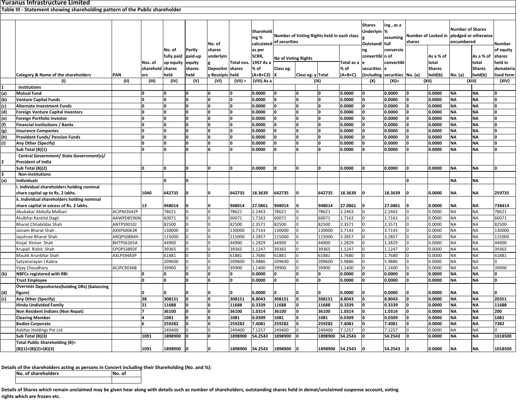**1 Institutions (a) Mutual Fund 00000 0.0000 0 0 0 0.0000 0 0.0000 0 0.0000 NA NA 0 (b) Venture Capital Funds 00000 0.0000 0 0 0 0.0000 0 0.0000 0 0.0000 NA NA 0 (c) Alternate Investment Funds 00000 0.0000 0 0 0 0.0000 0 0.0000 0 0.0000 NA NA 0** (d) Foreign Venture Capital Investors | |0 |0 |0 |0 |0.0000 |0 |0.0000 |0 |0.0000 |0 |0.0000 |NA |0 |0.0000 |NA |0 |0.0000 |NA |0 |0.0000 |NA |0 |0.0000 |NA |0 |0.0000 |N **(e) Foreign Portfolio Investor 00000 0.0000 0 0 0 0.0000 0 0.0000 0 0.0000 NA NA 0** (f) Financial Institutions / Banks | 0 |0 |0 |0 |0.0000 |0 |0.0000 |0 |0.0000 |0 |0.0000 |0 |0.0000 |NA |0 |0.0000 |NA |0 |0.0000 |0 |0.0000 |NA |0 |0.0000 |0 |0.0000 |NA |0 |0.0000 | **(g) Insurance Companies 00000 0.0000 0 0 0 0.0000 0 0.0000 0 0.0000 NA NA 0** (h) Provident-Funds/Pension-Funds | |0 |0 |0 |0 |0.0000 |0 |0.0000 |0 |0.0000 |0 |0.0000 |0 |0.0000 |NA |0 |0.0000 |NA |0 |0.0000 |0 |0.0000 |NA |0 **(i) Any Other (Specify) 00000 0.0000 0 0 0 0.0000 0 0.0000 0 0.0000 NA NA 0** Sub Total (B)(1) **Total (B)(1) 00000 0.0000 0 0 0 0.0000 0 0.0000 0 0.0000 NA NA 0 2Central Government/ State Government(s)/ President of India Sub** Total (B)(2) **Total (B)(2) 00000 0.0000 0 0 0 0.0000 0 0.0000 0 0.0000 NA NA 0 3 Non‐Institutions (a) Individuals 0 0 0 NA NA i. Individual shareholders holding nominal** share capital up to Rs. 2 lakhs. **capital up to Rs. 2 lakhs. 1040 642735 0 0 642735 18.3639 642735 0 642735 18.3639 0 18.3639 0 0.0000 NA NA 259735 ii. Individual shareholders holding nominal** share capital in excess of Rs. 2 lakhs. | |13 |948014 |0 |0 |948014 |27.0861 |0 |948014 |27.0961 |0 |27.0861 |0 |0.0000 |NA |NA |738414 Abubakar Abdullaa Malbari |ACJPM2642P | |78621 |0 |78621 |2.2463 |0 |2.2463 |0 |0.0000 |0.0000 |NA |NA |78621 |0 |2.2463 |0 |0.0000 |NA |NA |78621 Atulbhai Kantilal Dagli Kantilal Dagli AAWPD8596N 60071 0 0 60071 1.7163 60071 0 60071 1.7163 0 1.7163 0 0.0000 NA NA 60071 Bharat Chhabildas Shah ANTPS9010J 82500 0 0 82500 2.3571 82500 0 82500 2.3571 0 2.3571 0 0.0000 NA NA 82500Jainam Bharat Shah Bharat Shah . AXXPS0063R 130000 0 0 130000 3.7143 130000 0 130000 3.7143 0 3.7143 0 0.0000 NA NA 130000 Jayshree Bharat Shah ARQPS0884H 115000 0 0 115000 3.2857 115000 0 115000 3.2857 0 3.2857 0 0.0000 NA NA 115000 Kinjal Kintan Shah BHTPS6265A 44900 0 0 44900 1.2829 44900 0 44900 1.2829 0 1.2829 0 0.0000 NA NA 44900 Krupali Rishit Shah CPOPS3892F 39365 0 0 39365 1.1247 39365 0 39365 1.1247 0 1.1247 0 0.0000 NA NA 39365 Maulik Arunbhai Shah AXLPS9483P 61881 0 0 61881 1.7680 61881 0 61881 1.7680 0 1.7680 0 0.0000 NA NA 61881 Satyanarayan J Kabra 209600 0 0 209600 5.9886 209600 0 209600 5.9886 0 5.9886 0 0.0000 NA NA 0 Vijay Choudhary ACJPC9036B 39900 0 0 39900 1.1400 39900 0 39900 1.1400 0 1.1400 0 0.0000 NA NA 39900 **(b) NBFCs registered with RBI 0 0 0 0 0 0.0000 0 0 0 0.0000 0 0.0000 0 0.0000 NA NA 0 Trust Employee 00000 0.0000 0 0 0 0.0000 0 0.0000 0 0.0000 NA NA 0 (d) Overseas Depositories(holding DRs) (balancing figure) 00000 0.0000 0 0 0 0.0000 0 0.0000 0 0.0000 NA NA 0** (c) |Any Other (Specify) | |38 |308151 |0 |0 |308151 |8.8043 |0 |8.8043 |0 |0.000 |0 |0.0000 |NA |NA |20351 **Hindu Undivided Family Undivided Family 21 11688 0 0 11688 0.3339 11688 0 11688 0.3339 0 0.3339 0 0.0000 NA NA 11688** Non Resident Indians (Non Repat) | |7 |36100 |0 |0 |36100 |1.0314 |0 |1.0314 |0 |1.0314 |0 |0.0000 |NA |NA |200 Clearing Member | |4 |1081 |0 |0 |1081 |0.0309 |1081 |0.0310 |0 |0.0309 |0 |0.0000 |NA |NA |1081 **Bodies Corporate 6 259282 0 0 259282 7.4081 259282 0 259282 7.4081 0 7.4081 0 0.0000 NA NA 7382 Aabhar Holdings Pvt Ltd**  Holdings Pvt Ltd 249400 0 0 249400 7.1257 249400 0 249400 7.1257 0 7.1257 0 0.0000 NA NA 0 Sub Total (B)(3) b Total (B)(3) |1091 |1898900 |0 |0 |1898900 |54.2543 |1898900 |182543 |0 |54.2543 |0 |0.0000 |NA |NA |1018500 **Total Public Shareholding (B)= (XII) (XIII) (XIV) Number of Shares pledged or otherwise encumberedNo. (a) As a % of total Sharesheld(b) Numberof equity sharesheld in dematerialised form(I) (II) (III) (IV) (V) (VI) (VII) <sup>=</sup> (VIII) As <sup>a</sup> (IX) (X) (XI)= Total X Class eg: yTotal as a % of (A+B+C) No. ofSharesUnderlyin g Outstandi ng convertibln of esecurities(including Shareholding , as <sup>a</sup> %assuming fullconversio convertibl esecurities Number of Locked in sharesNo. (a) As a % of total Sharesheld(b) Yuranus Infrastructure Limited Table III ‐ Statement showing shareholding pattern of the Public shareholder Category & Name of the shareholders PAN Nos. of sharehold ers No. of fully paid up equity sharesheldPartly paid‐up equity sharesheldNo. of shares underlyin g Depositor y Receipts heldTotal nos. sharesShareholding % calculatedas per SCRR, 1957 As <sup>a</sup> % of (A+B+C2) Number of Voting Rights held in each class of securitiesNo of Voting Rights Class eg:**

**(B)(1)+(B)(2)+(B)(3) 1091 1898900 0 0 1898900 54.2543 1898900 0 1898900 54.2543 0 54.2543 0 0.0000 NA NA 1018500**

**Details of the shareholders acting as persons in Concert including their Shareholding (No. and %):**

**No. of shareholders No. of**

Details of Shares which remain unclaimed may be given hear along with details such as number of shareholders, outstanding shares held in demat/unclaimed suspense account, voting **rights which are frozen etc.**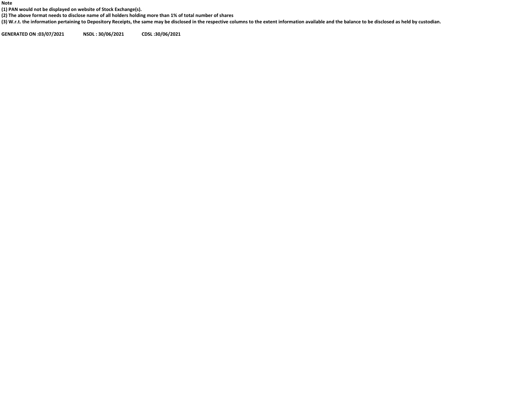**Note**

**(1) PAN would not be displayed on website of Stock Exchange(s).**

(2) The above format needs to disclose name of all holders holding more than 1% of total number of shares

(3) W.r.t. the information pertaining to Depository Receipts, the same may be disclosed in the respective columns to the extent information available and the balance to be disclosed as held by custodian.